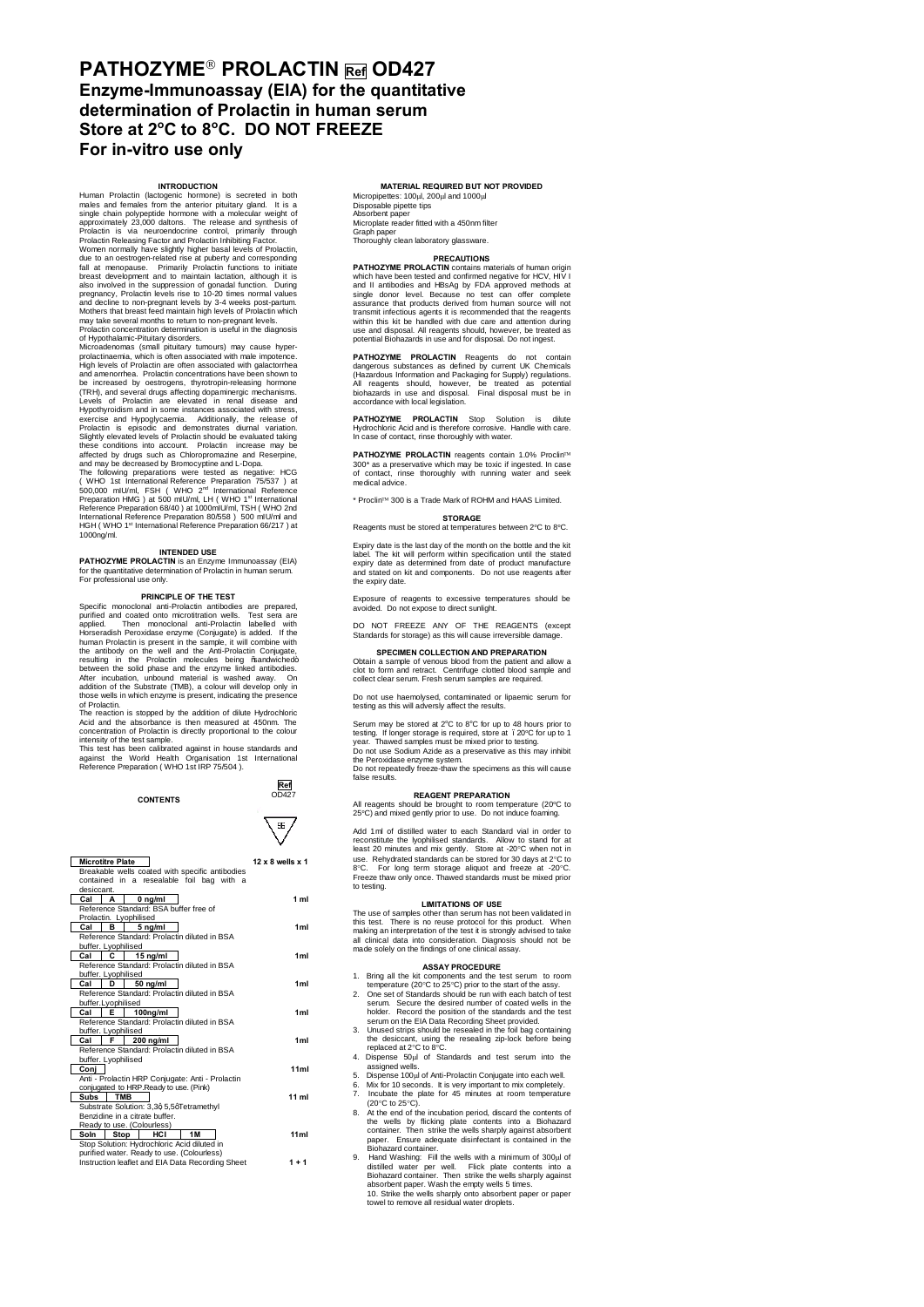# **PATHOZYME**" **PROLACTIN Ref OD427 Enzyme-Immunoassay (EIA) for the quantitative determination of Prolactin in human serum Store at 2<sup>o</sup> C to 8<sup>o</sup> C. DO NOT FREEZE For in-vitro use only**

Human Prolactin (lactogenic hormone) is secreted in both<br>males and females from the anterior pitutiary gland. It is a<br>single chain polypeptide hormone with a molecular weight of<br>approximately 23,000 daltons. The release an Women normally have slightly higher basal levels of Prolactin, due to an oestrogen-related rise at puberty and corresponding fall at menopause. Primarily Prolactin functions to initiate breast development and to maintain lactation, although it is<br>also involved in the suppression of gonadal function. During<br>pregnancy, Prolactin levels rise to 10-20 times normal values<br>and decline to non-pregnant levels by

Mothers that breast teled maintain high levels of Prolactin which<br>my take several months to return to non-pregnant levels.<br>Prolactin concentration determination is useful in the diagnosis<br>of Hypothalamic-Priultary disorder The following preparations were tested as negative: HCG<br>(YWHO 1st International Reference Preparation 75/537 ) at<br>500,000 mU/ml, FSH (WHO 2<sup>nd</sup> International Reference<br>Preparation HMG ) at 3.500 mU/ml, LH(WHO 1<sup>+</sup> Internat 1000ng/ml.

## **INTENDED USE**

**PATHOZYME PROLACTIN** is an Enzyme Immunoassay (EIA) for the quantitative determination of Prolactin in human serum. For professional use only.

Specific monoclonal anti-Prolactin antibodies are prepared,<br>Specific monoclonal anti-Prolactin antibodies are prepared,<br>purified and coated onto microtitration wells. Test sera are<br>Horseradish Peroxidase enzyme (Conjugate) human Prolactin is present in the sample, it will combine with the antibody on the well and the Anti-Prolactin Conjugate resulting in the Prolactin molecules being ‰andwiched+<br>between the solid phase and the enzyme linked antibodies. After incubation, unbound material is washed away. On addition of the Substrate (TMB), a colour will develop only in

those wells in which enzyme is present, indicating the presence<br>of Prolactin.<br>The reaction is stopped by the addition of dilute Hydrochloric<br>Acid and the absorbance is then measured at 450mm. The<br>concentration of Prolactin



| <b>Microtitre Plate</b>                                     |                                              |  |                                        |    |  | $12 \times 8$ wells $\times 1$ |  |  |
|-------------------------------------------------------------|----------------------------------------------|--|----------------------------------------|----|--|--------------------------------|--|--|
| Breakable wells coated with specific antibodies             |                                              |  |                                        |    |  |                                |  |  |
| contained in a resealable foil bag with a                   |                                              |  |                                        |    |  |                                |  |  |
| desiccant.                                                  |                                              |  |                                        |    |  |                                |  |  |
| Cal                                                         | A                                            |  | $0$ ng/ml                              |    |  | 1 <sub>m1</sub>                |  |  |
| Reference Standard: BSA buffer free of                      |                                              |  |                                        |    |  |                                |  |  |
| Prolactin. Lyophilised                                      |                                              |  |                                        |    |  |                                |  |  |
| Cal                                                         | в                                            |  | 5 ng/ml                                |    |  | 1ml                            |  |  |
| Reference Standard: Prolactin diluted in BSA                |                                              |  |                                        |    |  |                                |  |  |
| buffer. Lyophilised                                         |                                              |  |                                        |    |  |                                |  |  |
| Cal                                                         | c                                            |  | $15$ ng/ml                             |    |  | 1ml                            |  |  |
| Reference Standard: Prolactin diluted in BSA                |                                              |  |                                        |    |  |                                |  |  |
|                                                             | buffer. Lyophilised                          |  |                                        |    |  |                                |  |  |
| Cal                                                         | D                                            |  | $50$ ng/ml                             |    |  | 1 <sub>ml</sub>                |  |  |
| Reference Standard: Prolactin diluted in BSA                |                                              |  |                                        |    |  |                                |  |  |
| buffer.Lyophilised                                          |                                              |  |                                        |    |  |                                |  |  |
| Cal                                                         | E                                            |  | 100 <sub>ng</sub> /ml                  |    |  | 1 <sub>ml</sub>                |  |  |
|                                                             | Reference Standard: Prolactin diluted in BSA |  |                                        |    |  |                                |  |  |
| buffer. Lyophilised                                         |                                              |  |                                        |    |  |                                |  |  |
| Cal                                                         | F                                            |  | $200$ ng/ml                            |    |  | 1 <sub>ml</sub>                |  |  |
| Reference Standard: Prolactin diluted in BSA                |                                              |  |                                        |    |  |                                |  |  |
| buffer. Lyophilised                                         |                                              |  |                                        |    |  |                                |  |  |
| Conj                                                        |                                              |  |                                        |    |  | 11ml                           |  |  |
| Anti - Prolactin HRP Conjugate: Anti - Prolactin            |                                              |  |                                        |    |  |                                |  |  |
|                                                             |                                              |  | conjugated to HRP.Ready to use. (Pink) |    |  |                                |  |  |
| Subs                                                        | <b>TMB</b>                                   |  |                                        |    |  | $11$ ml                        |  |  |
| Substrate Solution: 3,3q 5,5qTetramethyl                    |                                              |  |                                        |    |  |                                |  |  |
| Benzidine in a citrate buffer.                              |                                              |  |                                        |    |  |                                |  |  |
| Ready to use. (Colourless)                                  |                                              |  |                                        |    |  |                                |  |  |
| Soln                                                        | Stop                                         |  | HCI                                    | 1M |  | 11ml                           |  |  |
| Stop Solution: Hydrochloric Acid diluted in                 |                                              |  |                                        |    |  |                                |  |  |
| purified water. Ready to use. (Colourless)                  |                                              |  |                                        |    |  |                                |  |  |
| Instruction leaflet and EIA Data Recording Sheet<br>$1 + 1$ |                                              |  |                                        |    |  |                                |  |  |

## **MATERIAL REQUIRED BUT NOT PROVIDED** Micropipettes:  $100\mu$ ,  $200\mu$  and  $1000\mu$

Disposable pipette tips Absorbent paper Microplate reader fitted with a 450nm filter

# Graph paper Thoroughly clean laboratory glassware.

## **PRECAUTIONS**<br>**PATHOZYME PROLACTIN** contains materials of human origin

which have been tested and confirmed negative for HCV. HIV I and II antibodies and HBsAg by FDA approved methods at single donor level. Because no test can offer complete assurance that products derived from human source will not<br>transmit infectious agents it is recommended that the reagents<br>within this kit be handled with due care and attention during<br>use and disposal. All reagents should,

**PATHOZYME PROLACTIN** Reagents do not contain<br>dangerous substances as defined by current UK Chemicals<br>(Hazardous Information and Packaging for Supply) regulations.<br>All reagents should, however, be treated as potential<br>bioh accordance with local legislation.

**PATHOZYME PROLACTIN** Stop Solution is dilute Hydrochloric Acid and is therefore corrosive. Handle with care. In case of contact, rinse thoroughly with water.

**PATHOZYME PROLACTIN** reagents contain 1.0% Proclin<sup>11</sup> 300\* as a preservative which may be toxic if ingested. In case of contact, rinse thoroughly with running water and seek ur cuntaut, mi<br>medical advice

\* Proclin' 300 is a Trade Mark of ROHM and HAAS Limited.

### **STORAGE** Reagents must be stored at temperatures between 2°C to 8°C.

Expiry date is the last day of the month on the bottle and the kit The kit will perform within specification until the stated expiry date as determined from date of product manufacture and stated on kit and components. Do not use reagents after the expiry date.

Exposure of reagents to excessive temperatures should be avoided. Do not expose to direct sunlight.

DO NOT EREEZE ANY OF THE REAGENTS (except Standards for storage) as this will cause irreversible damage.

**SPECIMEN COLLECTION AND PREPARATION**<br>Obtain a sample of venous blood from the patient and allow a<br>clot to form and retract. Centrifuge clotted blood sample<br>collect clear serum. Fresh serum samples are required.

Do not use haemolysed, contaminated or lipaemic serum for testing as this will adversly affect the results.

Serum may be stored at 2°C to 8°C for up to 48 hours prior to<br>testing. If longer storage is required, store at . 20°C for up to 1<br>year. Thawed samples must be mixed prior to testing.

Do not use Sodium Azide as a preservative as this may inhibit the Peroxidase enzyme system. Do not repeatedly freeze-thaw the specimens as this will cause

false results. **REAGENT PREPARATION**

All reagents should be brought to room temperature (20°C to 25°C) and mixed gently prior to use. Do not induce foaming.

Add 1ml of distilled water to each Standard vial in order to reconstitute the lyophilised standards. Allow to stand for at least 20 minutes and mix gently. Store at -20°C when not in use. Rehydrated standards can be stored to testing.

**LIMITATIONS OF USE**<br>The use of samples other than serum has not been validated in this test. There is no reuse protocol for this product. When<br>making an interpretation of the test it is strongly advised to take<br>all clinical data into consideration. Diagnosis should not be<br>made solely on the findings of

- 
- **ASSAY PROCEDURE**<br>1. Bring all the kine components and the test serum to room<br>temperature (20°C to 25°C) prior to the start of the assy.<br>2. One set of Standards should be run with each batch of test<br>serum. Secure the desir
- serum on the EIA Data Recording Sheet provided. 3. Unused strips should be resealed in the foil bag containing
- the desiccant, using the resealing zip-lock before being replaced at 2°C to 8°C.
- 
- 
- 4. Dispense 50µl of Standards and test serum into the assigned wells.<br>5. Dispense 100µl of Anti-Prolactin Conjugate into each well.<br>6. Mix for 10 seconds. It is very important to mix completely.<br>7. Incubate the plate for 4
- the wells by flicking plate contents into a Biohazard container. Then strike the wells sharply against absorbent paper. Ensure adequate disinfectant is contained in the Biohazard container.
- 9. Hand Washing: Fill the wells with a minimum of 300µl of distilled water per well. Flick plate contents into a Biohazard container. Then strike the wells sharply against absorbent paper. Wash the empty wells 5 times.<br>10.